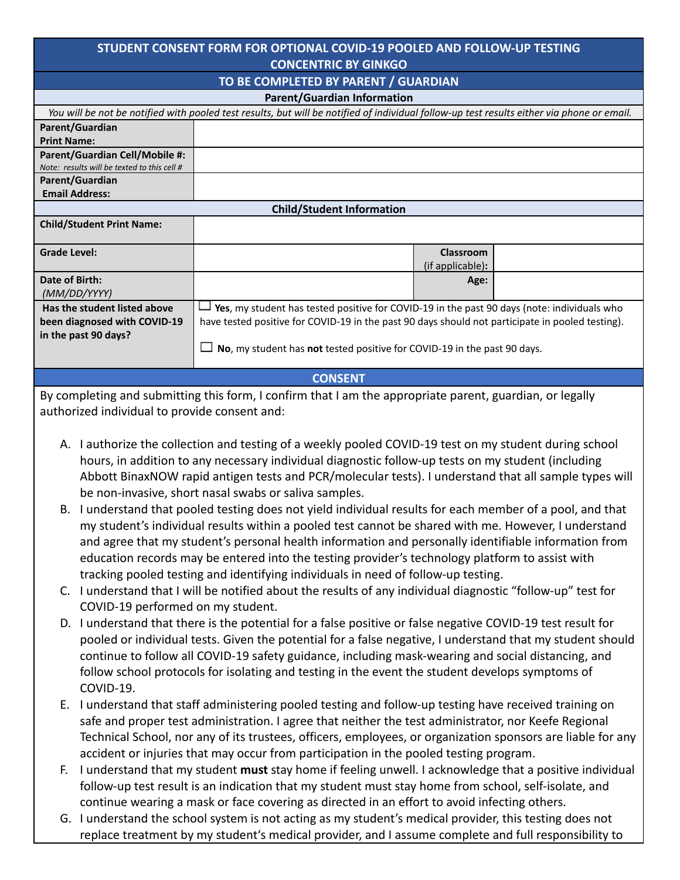## **STUDENT CONSENT FORM FOR OPTIONAL COVID-19 POOLED AND FOLLOW-UP TESTING CONCENTRIC BY GINKGO**

## **TO BE COMPLETED BY PARENT / GUARDIAN Parent/Guardian Information** You will be not be notified with pooled test results, but will be notified of individual follow-up test results either via phone or email. **Parent/Guardian Print Name: Parent/Guardian Cell/Mobile #:** *Note: results will be texted to this cell #* **Parent/Guardian Email Address: Child/Student Information Child/Student Print Name: Grade Level: Classroom** (if applicable)**: Date of Birth:** *(MM/DD/YYYY)* **Age: Has the student listed above been diagnosed with COVID-19 in the past 90 days? Yes**, my student has tested positive for COVID-19 in the past 90 days (note: individuals who have tested positive for COVID-19 in the past 90 days should not participate in pooled testing). **No**, my student has **not** tested positive for COVID-19 in the past 90 days. **CONSENT** By completing and submitting this form, I confirm that I am the appropriate parent, guardian, or legally authorized individual to provide consent and: A. I authorize the collection and testing of a weekly pooled COVID-19 test on my student during school hours, in addition to any necessary individual diagnostic follow-up tests on my student (including Abbott BinaxNOW rapid antigen tests and PCR/molecular tests). I understand that all sample types will be non-invasive, short nasal swabs or saliva samples. B. I understand that pooled testing does not yield individual results for each member of a pool, and that my student's individual results within a pooled test cannot be shared with me. However, I understand and agree that my student's personal health information and personally identifiable information from education records may be entered into the testing provider's technology platform to assist with tracking pooled testing and identifying individuals in need of follow-up testing. C. I understand that I will be notified about the results of any individual diagnostic "follow-up" test for COVID-19 performed on my student. D. I understand that there is the potential for a false positive or false negative COVID-19 test result for pooled or individual tests. Given the potential for a false negative, I understand that my student should continue to follow all COVID-19 safety guidance, including mask-wearing and social distancing, and

COVID-19. E. I understand that staff administering pooled testing and follow-up testing have received training on safe and proper test administration. I agree that neither the test administrator, nor Keefe Regional Technical School, nor any of its trustees, officers, employees, or organization sponsors are liable for any accident or injuries that may occur from participation in the pooled testing program.

follow school protocols for isolating and testing in the event the student develops symptoms of

- F. I understand that my student **must** stay home if feeling unwell. I acknowledge that a positive individual follow-up test result is an indication that my student must stay home from school, self-isolate, and continue wearing a mask or face covering as directed in an effort to avoid infecting others.
- G. I understand the school system is not acting as my student's medical provider, this testing does not replace treatment by my student's medical provider, and I assume complete and full responsibility to